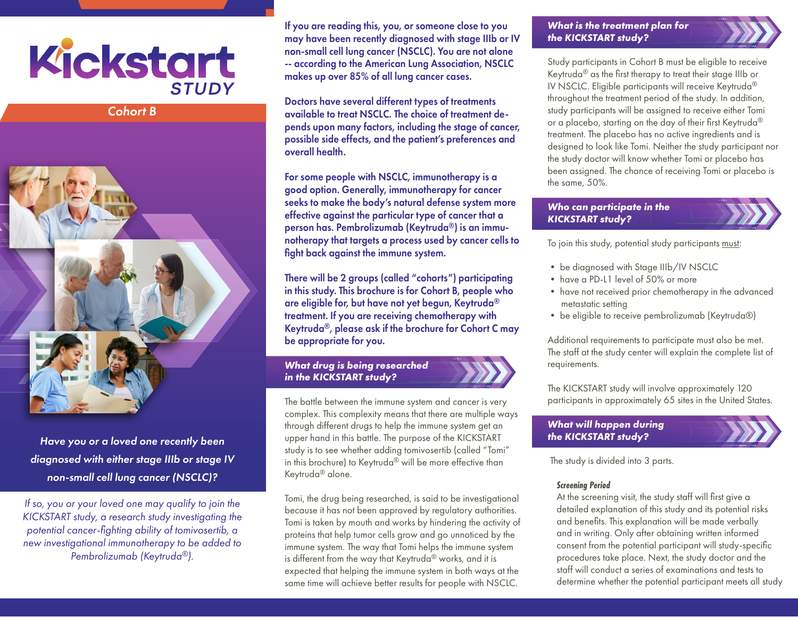

*Cohort B*



*Have you or a loved one recently been diagnosed with either stage IIIb or stage IV non-small cell lung cancer (NSCLC)?* 

*If so, you or your loved one may qualify to join the KICKSTART study, a research study investigating the potential cancer-fighting ability of tomivosertib, a new investigational immunotherapy to be added to Pembrolizumab (Keytruda®).*

If you are reading this, you, or someone close to you may have been recently diagnosed with stage IIIb or IV non-small cell lung cancer (NSCLC). You are not alone -- according to the American Lung Association, NSCLC makes up over 85% of all lung cancer cases.

Doctors have several different types of treatments available to treat NSCLC. The choice of treatment depends upon many factors, including the stage of cancer, possible side effects, and the patient's preferences and overall health.

For some people with NSCLC, immunotherapy is a good option. Generally, immunotherapy for cancer seeks to make the body's natural defense system more effective against the particular type of cancer that a person has. Pembrolizumab (Keytruda®) is an immunotherapy that targets a process used by cancer cells to fight back against the immune system.

There will be 2 groups (called "cohorts") participating in this study. This brochure is for Cohort B, people who are eligible for, but have not yet begun, Keytruda® treatment. If you are receiving chemotherapy with Keytruda®, please ask if the brochure for Cohort C may be appropriate for you.

## *What drug is being researched in the KICKSTART study?*



Tomi, the drug being researched, is said to be investigational because it has not been approved by regulatory authorities. Tomi is taken by mouth and works by hindering the activity of proteins that help tumor cells grow and go unnoticed by the immune system. The way that Tomi helps the immune system is different from the way that Keytruda® works, and it is expected that helping the immune system in both ways at the same time will achieve better results for people with NSCLC.

#### *What is the treatment plan for the KICKSTART study?*

Study participants in Cohort B must be eligible to receive Keytruda® as the first therapy to treat their stage IIIb or IV NSCLC. Eligible participants will receive Keytruda® throughout the treatment period of the study. In addition, study participants will be assigned to receive either Tomi or a placebo, starting on the day of their first Keytruda® treatment. The placebo has no active ingredients and is designed to look like Tomi. Neither the study participant nor the study doctor will know whether Tomi or placebo has been assigned. The chance of receiving Tomi or placebo is the same, 50%.

## *Who can participate in the KICKSTART study?*



To join this study, potential study participants must:

- be diagnosed with Stage IIIb/IV NSCLC
- have a PD-L1 level of 50% or more
- have not received prior chemotherapy in the advanced metastatic setting
- be eligible to receive pembrolizumab (Keytruda®)

Additional requirements to participate must also be met. The staff at the study center will explain the complete list of requirements.

The KICKSTART study will involve approximately 120 participants in approximately 65 sites in the United States.

## *What will happen during the KICKSTART study?*



The study is divided into 3 parts.

## *Screening Period*

At the screening visit, the study staff will first give a detailed explanation of this study and its potential risks and benefits. This explanation will be made verbally and in writing. Only after obtaining written informed consent from the potential participant will study-specific procedures take place. Next, the study doctor and the staff will conduct a series of examinations and tests to determine whether the potential participant meets all study